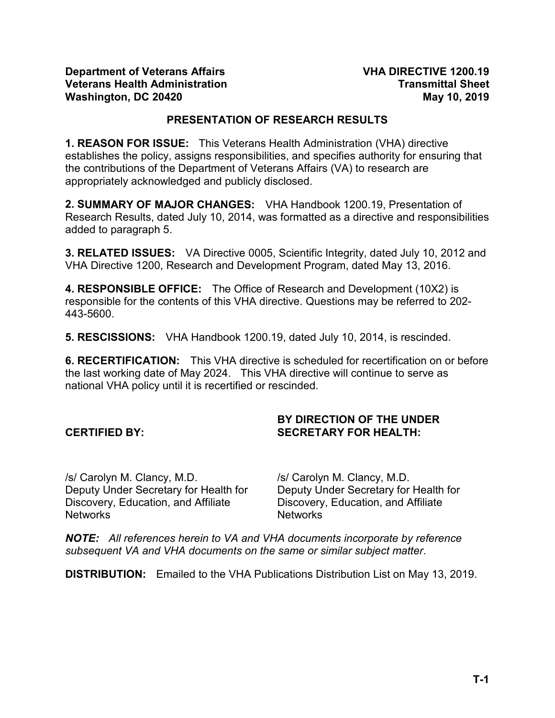### **PRESENTATION OF RESEARCH RESULTS**

**1. REASON FOR ISSUE:** This Veterans Health Administration (VHA) directive establishes the policy, assigns responsibilities, and specifies authority for ensuring that the contributions of the Department of Veterans Affairs (VA) to research are appropriately acknowledged and publicly disclosed.

**2. SUMMARY OF MAJOR CHANGES:** VHA Handbook 1200.19, Presentation of Research Results, dated July 10, 2014, was formatted as a directive and responsibilities added to paragraph 5.

**3. RELATED ISSUES:** VA Directive 0005, Scientific Integrity, dated July 10, 2012 and VHA Directive 1200, Research and Development Program, dated May 13, 2016.

**4. RESPONSIBLE OFFICE:** The Office of Research and Development (10X2) is responsible for the contents of this VHA directive. Questions may be referred to 202- 443-5600.

**5. RESCISSIONS:** VHA Handbook 1200.19, dated July 10, 2014, is rescinded.

**6. RECERTIFICATION:** This VHA directive is scheduled for recertification on or before the last working date of May 2024. This VHA directive will continue to serve as national VHA policy until it is recertified or rescinded.

### **CERTIFIED BY:**

### **BY DIRECTION OF THE UNDER SECRETARY FOR HEALTH:**

/s/ Carolyn M. Clancy, M.D. Deputy Under Secretary for Health for Discovery, Education, and Affiliate Networks

/s/ Carolyn M. Clancy, M.D. Deputy Under Secretary for Health for Discovery, Education, and Affiliate Networks

*NOTE: All references herein to VA and VHA documents incorporate by reference subsequent VA and VHA documents on the same or similar subject matter*.

**DISTRIBUTION:** Emailed to the VHA Publications Distribution List on May 13, 2019.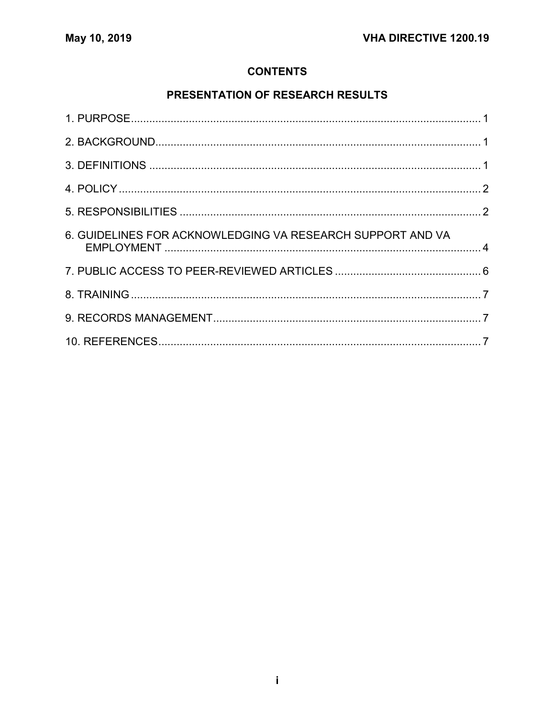## **CONTENTS**

# PRESENTATION OF RESEARCH RESULTS

| 6. GUIDELINES FOR ACKNOWLEDGING VA RESEARCH SUPPORT AND VA |  |
|------------------------------------------------------------|--|
|                                                            |  |
|                                                            |  |
|                                                            |  |
|                                                            |  |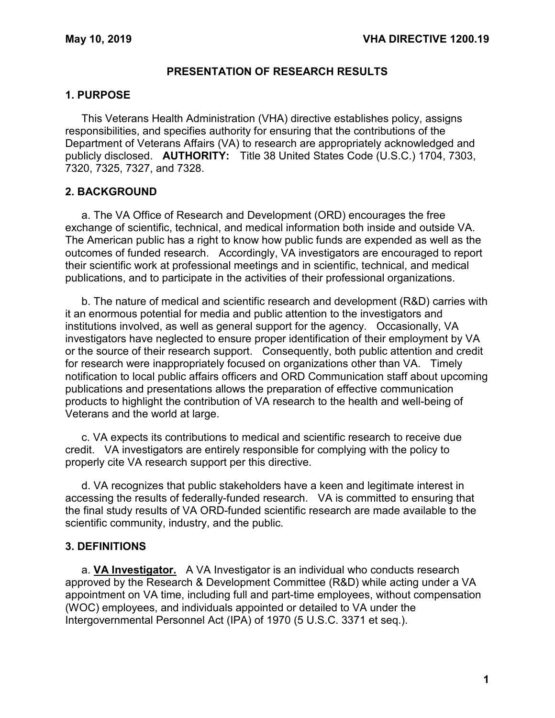### **PRESENTATION OF RESEARCH RESULTS**

#### <span id="page-2-0"></span>**1. PURPOSE**

This Veterans Health Administration (VHA) directive establishes policy, assigns responsibilities, and specifies authority for ensuring that the contributions of the Department of Veterans Affairs (VA) to research are appropriately acknowledged and publicly disclosed. **AUTHORITY:** Title 38 United States Code (U.S.C.) 1704, 7303, 7320, 7325, 7327, and 7328.

### <span id="page-2-1"></span>**2. BACKGROUND**

a. The VA Office of Research and Development (ORD) encourages the free exchange of scientific, technical, and medical information both inside and outside VA. The American public has a right to know how public funds are expended as well as the outcomes of funded research. Accordingly, VA investigators are encouraged to report their scientific work at professional meetings and in scientific, technical, and medical publications, and to participate in the activities of their professional organizations.

b. The nature of medical and scientific research and development (R&D) carries with it an enormous potential for media and public attention to the investigators and institutions involved, as well as general support for the agency. Occasionally, VA investigators have neglected to ensure proper identification of their employment by VA or the source of their research support. Consequently, both public attention and credit for research were inappropriately focused on organizations other than VA. Timely notification to local public affairs officers and ORD Communication staff about upcoming publications and presentations allows the preparation of effective communication products to highlight the contribution of VA research to the health and well-being of Veterans and the world at large.

c. VA expects its contributions to medical and scientific research to receive due credit. VA investigators are entirely responsible for complying with the policy to properly cite VA research support per this directive.

d. VA recognizes that public stakeholders have a keen and legitimate interest in accessing the results of federally-funded research. VA is committed to ensuring that the final study results of VA ORD-funded scientific research are made available to the scientific community, industry, and the public.

### <span id="page-2-2"></span>**3. DEFINITIONS**

a. **VA Investigator.** A VA Investigator is an individual who conducts research approved by the Research & Development Committee (R&D) while acting under a VA appointment on VA time, including full and part-time employees, without compensation (WOC) employees, and individuals appointed or detailed to VA under the Intergovernmental Personnel Act (IPA) of 1970 (5 U.S.C. 3371 et seq.).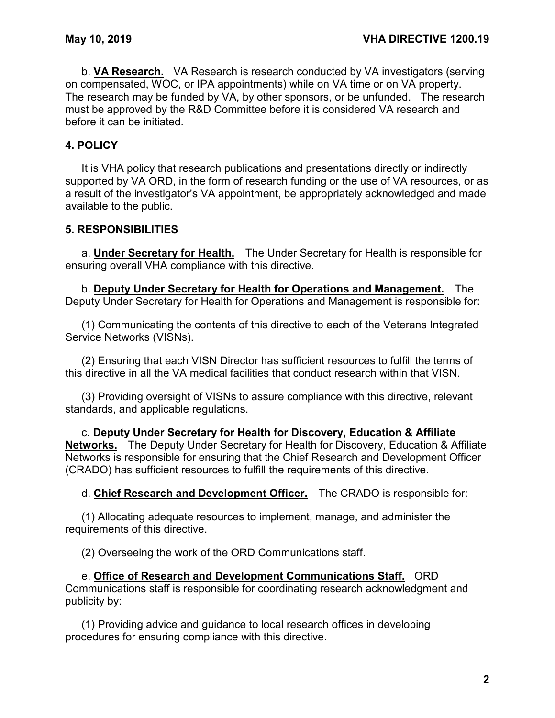b. **VA Research.** VA Research is research conducted by VA investigators (serving on compensated, WOC, or IPA appointments) while on VA time or on VA property. The research may be funded by VA, by other sponsors, or be unfunded. The research must be approved by the R&D Committee before it is considered VA research and before it can be initiated.

## <span id="page-3-0"></span>**4. POLICY**

It is VHA policy that research publications and presentations directly or indirectly supported by VA ORD, in the form of research funding or the use of VA resources, or as a result of the investigator's VA appointment, be appropriately acknowledged and made available to the public.

### <span id="page-3-1"></span>**5. RESPONSIBILITIES**

a. **Under Secretary for Health.** The Under Secretary for Health is responsible for ensuring overall VHA compliance with this directive.

b. **Deputy Under Secretary for Health for Operations and Management.** The Deputy Under Secretary for Health for Operations and Management is responsible for:

(1) Communicating the contents of this directive to each of the Veterans Integrated Service Networks (VISNs).

(2) Ensuring that each VISN Director has sufficient resources to fulfill the terms of this directive in all the VA medical facilities that conduct research within that VISN.

(3) Providing oversight of VISNs to assure compliance with this directive, relevant standards, and applicable regulations.

c. **Deputy Under Secretary for Health for Discovery, Education & Affiliate Networks.** The Deputy Under Secretary for Health for Discovery, Education & Affiliate Networks is responsible for ensuring that the Chief Research and Development Officer (CRADO) has sufficient resources to fulfill the requirements of this directive.

d. **Chief Research and Development Officer.** The CRADO is responsible for:

(1) Allocating adequate resources to implement, manage, and administer the requirements of this directive.

(2) Overseeing the work of the ORD Communications staff.

e. **Office of Research and Development Communications Staff.** ORD Communications staff is responsible for coordinating research acknowledgment and publicity by:

(1) Providing advice and guidance to local research offices in developing procedures for ensuring compliance with this directive.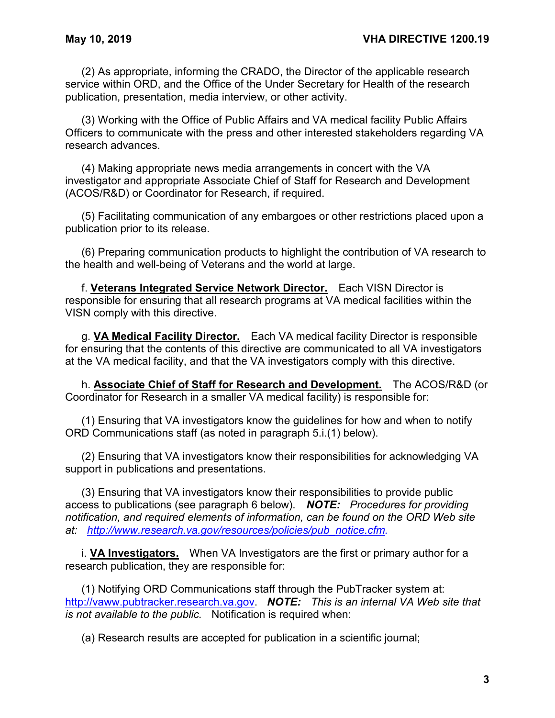(2) As appropriate, informing the CRADO, the Director of the applicable research service within ORD, and the Office of the Under Secretary for Health of the research publication, presentation, media interview, or other activity.

(3) Working with the Office of Public Affairs and VA medical facility Public Affairs Officers to communicate with the press and other interested stakeholders regarding VA research advances.

(4) Making appropriate news media arrangements in concert with the VA investigator and appropriate Associate Chief of Staff for Research and Development (ACOS/R&D) or Coordinator for Research, if required.

(5) Facilitating communication of any embargoes or other restrictions placed upon a publication prior to its release.

(6) Preparing communication products to highlight the contribution of VA research to the health and well-being of Veterans and the world at large.

f. **Veterans Integrated Service Network Director.** Each VISN Director is responsible for ensuring that all research programs at VA medical facilities within the VISN comply with this directive.

g. **VA Medical Facility Director.** Each VA medical facility Director is responsible for ensuring that the contents of this directive are communicated to all VA investigators at the VA medical facility, and that the VA investigators comply with this directive.

h. **Associate Chief of Staff for Research and Development.** The ACOS/R&D (or Coordinator for Research in a smaller VA medical facility) is responsible for:

(1) Ensuring that VA investigators know the guidelines for how and when to notify ORD Communications staff (as noted in paragraph 5.i.(1) below).

(2) Ensuring that VA investigators know their responsibilities for acknowledging VA support in publications and presentations.

(3) Ensuring that VA investigators know their responsibilities to provide public access to publications (see paragraph 6 below). *NOTE: Procedures for providing notification, and required elements of information, can be found on the ORD Web site at: [http://www.research.va.gov/resources/policies/pub\\_notice.cfm.](http://www.research.va.gov/resources/policies/pub_notice.cfm)*

i. **VA Investigators.** When VA Investigators are the first or primary author for a research publication, they are responsible for:

(1) Notifying ORD Communications staff through the PubTracker system at: [http://vaww.pubtracker.research.va.gov.](http://vaww.pubtracker.research.va.gov/) *NOTE: This is an internal VA Web site that is not available to the public.* Notification is required when:

(a) Research results are accepted for publication in a scientific journal;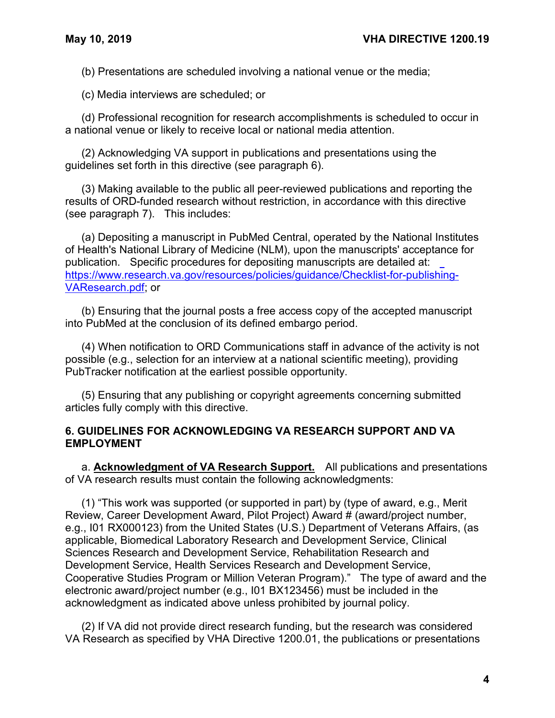(b) Presentations are scheduled involving a national venue or the media;

(c) Media interviews are scheduled; or

(d) Professional recognition for research accomplishments is scheduled to occur in a national venue or likely to receive local or national media attention.

(2) Acknowledging VA support in publications and presentations using the guidelines set forth in this directive (see paragraph 6).

(3) Making available to the public all peer-reviewed publications and reporting the results of ORD-funded research without restriction, in accordance with this directive (see paragraph 7). This includes:

(a) Depositing a manuscript in PubMed Central, operated by the National Institutes of Health's National Library of Medicine (NLM), upon the manuscripts' accept[ance for](https://www.research.va.gov/resources/policies/guidance/Checklist-for-publishing-VAResearch.pdf)  publication. Specific procedures for depositing manuscripts are detailed at: [https://www.research.va.gov/resources/policies/guidance/Checklist-for-publishing-](https://www.research.va.gov/resources/policies/guidance/Checklist-for-publishing-VAResearch.pdf)[VAResearch.pdf;](https://www.research.va.gov/resources/policies/guidance/Checklist-for-publishing-VAResearch.pdf) or

(b) Ensuring that the journal posts a free access copy of the accepted manuscript into PubMed at the conclusion of its defined embargo period.

(4) When notification to ORD Communications staff in advance of the activity is not possible (e.g., selection for an interview at a national scientific meeting), providing PubTracker notification at the earliest possible opportunity.

(5) Ensuring that any publishing or copyright agreements concerning submitted articles fully comply with this directive.

### <span id="page-5-0"></span>**6. GUIDELINES FOR ACKNOWLEDGING VA RESEARCH SUPPORT AND VA EMPLOYMENT**

a. **Acknowledgment of VA Research Support.** All publications and presentations of VA research results must contain the following acknowledgments:

(1) "This work was supported (or supported in part) by (type of award, e.g., Merit Review, Career Development Award, Pilot Project) Award # (award/project number, e.g., I01 RX000123) from the United States (U.S.) Department of Veterans Affairs, (as applicable, Biomedical Laboratory Research and Development Service, Clinical Sciences Research and Development Service, Rehabilitation Research and Development Service, Health Services Research and Development Service, Cooperative Studies Program or Million Veteran Program)." The type of award and the electronic award/project number (e.g., I01 BX123456) must be included in the acknowledgment as indicated above unless prohibited by journal policy.

(2) If VA did not provide direct research funding, but the research was considered VA Research as specified by VHA Directive 1200.01, the publications or presentations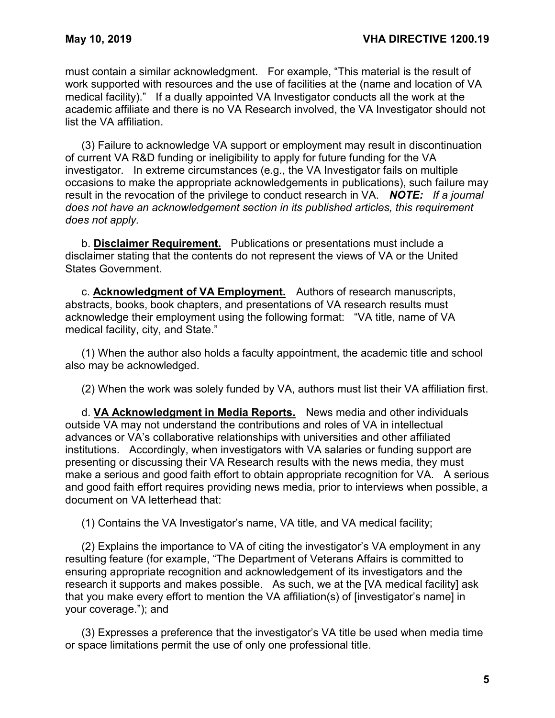must contain a similar acknowledgment. For example, "This material is the result of work supported with resources and the use of facilities at the (name and location of VA medical facility)." If a dually appointed VA Investigator conducts all the work at the academic affiliate and there is no VA Research involved, the VA Investigator should not list the VA affiliation.

(3) Failure to acknowledge VA support or employment may result in discontinuation of current VA R&D funding or ineligibility to apply for future funding for the VA investigator. In extreme circumstances (e.g., the VA Investigator fails on multiple occasions to make the appropriate acknowledgements in publications), such failure may result in the revocation of the privilege to conduct research in VA. *NOTE: If a journal does not have an acknowledgement section in its published articles, this requirement does not apply.*

b. **Disclaimer Requirement.** Publications or presentations must include a disclaimer stating that the contents do not represent the views of VA or the United States Government.

c. **Acknowledgment of VA Employment.** Authors of research manuscripts, abstracts, books, book chapters, and presentations of VA research results must acknowledge their employment using the following format: "VA title, name of VA medical facility, city, and State."

(1) When the author also holds a faculty appointment, the academic title and school also may be acknowledged.

(2) When the work was solely funded by VA, authors must list their VA affiliation first.

d. **VA Acknowledgment in Media Reports.** News media and other individuals outside VA may not understand the contributions and roles of VA in intellectual advances or VA's collaborative relationships with universities and other affiliated institutions. Accordingly, when investigators with VA salaries or funding support are presenting or discussing their VA Research results with the news media, they must make a serious and good faith effort to obtain appropriate recognition for VA. A serious and good faith effort requires providing news media, prior to interviews when possible, a document on VA letterhead that:

(1) Contains the VA Investigator's name, VA title, and VA medical facility;

(2) Explains the importance to VA of citing the investigator's VA employment in any resulting feature (for example, "The Department of Veterans Affairs is committed to ensuring appropriate recognition and acknowledgement of its investigators and the research it supports and makes possible. As such, we at the [VA medical facility] ask that you make every effort to mention the VA affiliation(s) of [investigator's name] in your coverage."); and

(3) Expresses a preference that the investigator's VA title be used when media time or space limitations permit the use of only one professional title.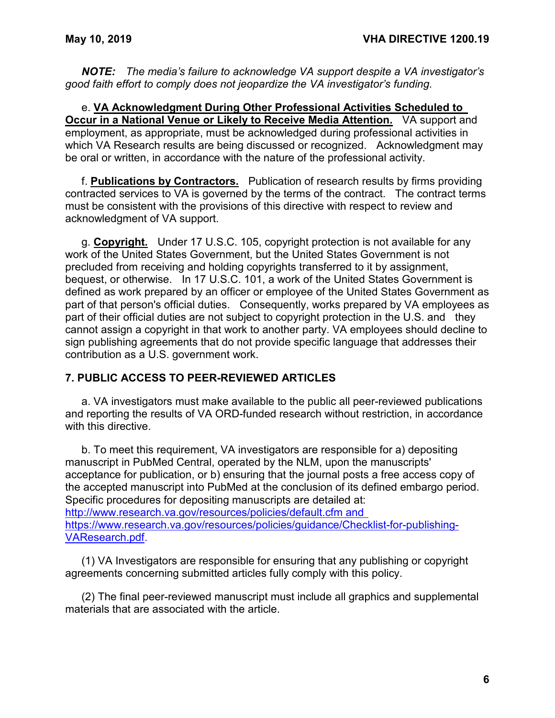*NOTE: The media's failure to acknowledge VA support despite a VA investigator's good faith effort to comply does not jeopardize the VA investigator's funding.*

e. **VA Acknowledgment During Other Professional Activities Scheduled to Occur in a National Venue or Likely to Receive Media Attention.** VA support and employment, as appropriate, must be acknowledged during professional activities in which VA Research results are being discussed or recognized. Acknowledgment may be oral or written, in accordance with the nature of the professional activity.

f. **Publications by Contractors.** Publication of research results by firms providing contracted services to VA is governed by the terms of the contract. The contract terms must be consistent with the provisions of this directive with respect to review and acknowledgment of VA support.

g. **Copyright.** Under 17 U.S.C. 105, copyright protection is not available for any work of the United States Government, but the United States Government is not precluded from receiving and holding copyrights transferred to it by assignment, bequest, or otherwise. In 17 U.S.C. 101, a work of the United States Government is defined as work prepared by an officer or employee of the United States Government as part of that person's official duties. Consequently, works prepared by VA employees as part of their official duties are not subject to copyright protection in the U.S. and they cannot assign a copyright in that work to another party. VA employees should decline to sign publishing agreements that do not provide specific language that addresses their contribution as a U.S. government work.

## <span id="page-7-0"></span>**7. PUBLIC ACCESS TO PEER-REVIEWED ARTICLES**

a. VA investigators must make available to the public all peer-reviewed publications and reporting the results of VA ORD-funded research without restriction, in accordance with this directive.

b. To meet this requirement, VA investigators are responsible for a) depositing manuscript in PubMed Central, operated by the NLM, upon the manuscripts' acceptance for publication, or b) ensuring that the journal posts a free access copy of the accepted manuscript into PubMed at the conclusion of its defined embargo period. Specific procedures for depositing manuscripts are detailed at: [http://www.research.va.gov/resources/policies/default.cfm](http://www.research.va.gov/resources/policies/default.cfm%20and%20https:/www.research.va.gov/resources/policies/guidance/Checklist-for-publishing-VAResearch.pdf) and [https://www.research.va.gov/resources/policies/guidance/Checklist-for-publishing-](http://www.research.va.gov/resources/policies/default.cfm%20and%20https:/www.research.va.gov/resources/policies/guidance/Checklist-for-publishing-VAResearch.pdf)[VAResearch.pdf.](http://www.research.va.gov/resources/policies/default.cfm%20and%20https:/www.research.va.gov/resources/policies/guidance/Checklist-for-publishing-VAResearch.pdf)

(1) VA Investigators are responsible for ensuring that any publishing or copyright agreements concerning submitted articles fully comply with this policy.

(2) The final peer-reviewed manuscript must include all graphics and supplemental materials that are associated with the article.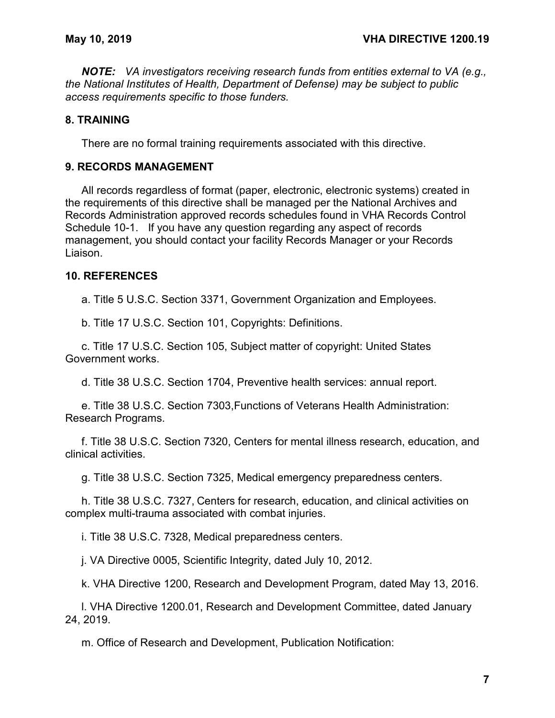*NOTE: VA investigators receiving research funds from entities external to VA (e.g., the National Institutes of Health, Department of Defense) may be subject to public access requirements specific to those funders.*

### <span id="page-8-0"></span>**8. TRAINING**

There are no formal training requirements associated with this directive.

#### <span id="page-8-1"></span>**9. RECORDS MANAGEMENT**

All records regardless of format (paper, electronic, electronic systems) created in the requirements of this directive shall be managed per the National Archives and Records Administration approved records schedules found in VHA Records Control Schedule 10-1. If you have any question regarding any aspect of records management, you should contact your facility Records Manager or your Records Liaison.

### <span id="page-8-2"></span>**10. REFERENCES**

a. Title 5 U.S.C. Section 3371, Government Organization and Employees.

b. Title 17 U.S.C. Section 101, Copyrights: Definitions.

c. Title 17 U.S.C. Section 105, Subject matter of copyright: United States Government works.

d. Title 38 U.S.C. Section 1704, Preventive health services: annual report.

e. Title 38 U.S.C. Section 7303,Functions of Veterans Health Administration: Research Programs.

f. Title 38 U.S.C. Section 7320, Centers for mental illness research, education, and clinical activities.

g. Title 38 U.S.C. Section 7325, Medical emergency preparedness centers.

h. Title 38 U.S.C. 7327, Centers for research, education, and clinical activities on complex multi-trauma associated with combat injuries.

i. Title 38 U.S.C. 7328, Medical preparedness centers.

j. VA Directive 0005, Scientific Integrity, dated July 10, 2012.

k. VHA Directive 1200, Research and Development Program, dated May 13, 2016.

l. VHA Directive 1200.01, Research and Development Committee, dated January 24, 2019.

m. Office of Research and Development, Publication Notification: